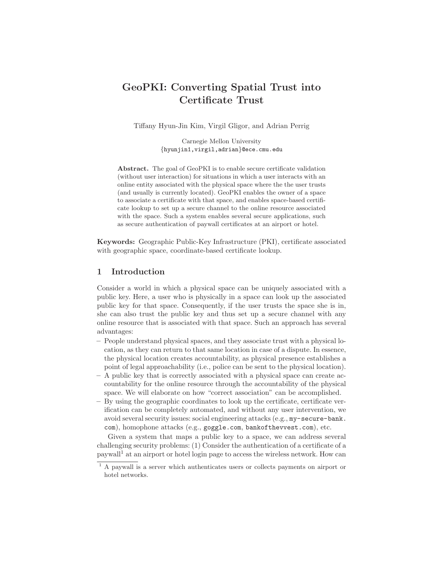# GeoPKI: Converting Spatial Trust into Certificate Trust

Tiffany Hyun-Jin Kim, Virgil Gligor, and Adrian Perrig

Carnegie Mellon University {hyunjin1,virgil,adrian}@ece.cmu.edu

Abstract. The goal of GeoPKI is to enable secure certificate validation (without user interaction) for situations in which a user interacts with an online entity associated with the physical space where the the user trusts (and usually is currently located). GeoPKI enables the owner of a space to associate a certificate with that space, and enables space-based certificate lookup to set up a secure channel to the online resource associated with the space. Such a system enables several secure applications, such as secure authentication of paywall certificates at an airport or hotel.

Keywords: Geographic Public-Key Infrastructure (PKI), certificate associated with geographic space, coordinate-based certificate lookup.

## 1 Introduction

Consider a world in which a physical space can be uniquely associated with a public key. Here, a user who is physically in a space can look up the associated public key for that space. Consequently, if the user trusts the space she is in, she can also trust the public key and thus set up a secure channel with any online resource that is associated with that space. Such an approach has several advantages:

- People understand physical spaces, and they associate trust with a physical location, as they can return to that same location in case of a dispute. In essence, the physical location creates accountability, as physical presence establishes a point of legal approachability (i.e., police can be sent to the physical location).
- A public key that is correctly associated with a physical space can create accountability for the online resource through the accountability of the physical space. We will elaborate on how "correct association" can be accomplished.
- By using the geographic coordinates to look up the certificate, certificate verification can be completely automated, and without any user intervention, we avoid several security issues: social engineering attacks (e.g., my-secure-bank. com), homophone attacks (e.g., goggle.com, bankofthevvest.com), etc.

Given a system that maps a public key to a space, we can address several challenging security problems: (1) Consider the authentication of a certificate of a paywall<sup>1</sup> at an airport or hotel login page to access the wireless network. How can

<sup>1</sup> A paywall is a server which authenticates users or collects payments on airport or hotel networks.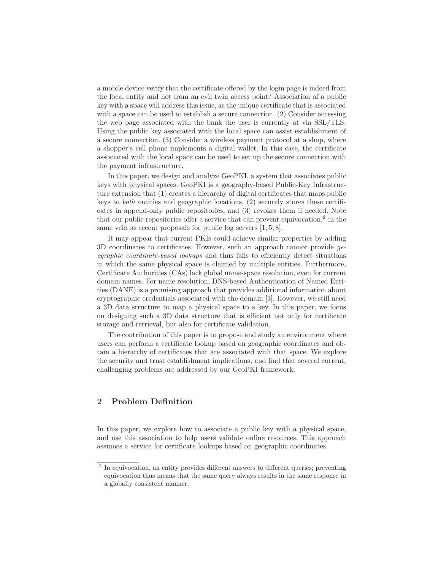a mobile device verify that the certificate offered by the login page is indeed from the local entity and not from an evil twin access point? Association of a public key with a space will address this issue, as the unique certificate that is associated with a space can be used to establish a secure connection. (2) Consider accessing the web page associated with the bank the user is currently at via SSL/TLS. Using the public key associated with the local space can assist establishment of a secure connection. (3) Consider a wireless payment protocol at a shop, where a shopper's cell phone implements a digital wallet. In this case, the certificate associated with the local space can be used to set up the secure connection with the payment infrastructure.

In this paper, we design and analyze GeoPKI, a system that associates public keys with physical spaces. GeoPKI is a geography-based Public-Key Infrastructure extension that (1) creates a hierarchy of digital certificates that maps public keys to both entities and geographic locations, (2) securely stores these certificates in append-only public repositories, and (3) revokes them if needed. Note that our public repositories offer a service that can prevent equivocation,<sup>2</sup> in the same vein as recent proposals for public log servers  $[1, 5, 8]$ .

It may appear that current PKIs could achieve similar properties by adding 3D coordinates to certificates. However, such an approach cannot provide geographic coordinate-based lookups and thus fails to efficiently detect situations in which the same physical space is claimed by multiple entities. Furthermore, Certificate Authorities (CAs) lack global name-space resolution, even for current domain names. For name resolution, DNS-based Authentication of Named Entities (DANE) is a promising approach that provides additional information about cryptographic credentials associated with the domain [3]. However, we still need a 3D data structure to map a physical space to a key. In this paper, we focus on designing such a 3D data structure that is efficient not only for certificate storage and retrieval, but also for certificate validation.

The contribution of this paper is to propose and study an environment where users can perform a certificate lookup based on geographic coordinates and obtain a hierarchy of certificates that are associated with that space. We explore the security and trust establishment implications, and find that several current, challenging problems are addressed by our GeoPKI framework.

## 2 Problem Definition

In this paper, we explore how to associate a public key with a physical space, and use this association to help users validate online resources. This approach assumes a service for certificate lookups based on geographic coordinates.

<sup>&</sup>lt;sup>2</sup> In equivocation, an entity provides different answers to different queries; preventing equivocation thus means that the same query always results in the same response in a globally consistent manner.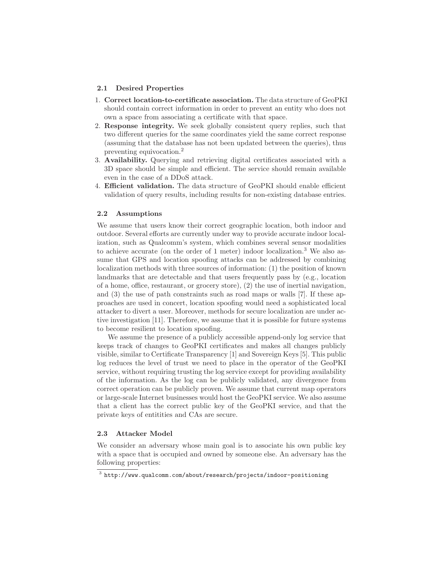#### 2.1 Desired Properties

- 1. Correct location-to-certificate association. The data structure of GeoPKI should contain correct information in order to prevent an entity who does not own a space from associating a certificate with that space.
- 2. Response integrity. We seek globally consistent query replies, such that two different queries for the same coordinates yield the same correct response (assuming that the database has not been updated between the queries), thus preventing equivocation.<sup>2</sup>
- 3. Availability. Querying and retrieving digital certificates associated with a 3D space should be simple and efficient. The service should remain available even in the case of a DDoS attack.
- 4. Efficient validation. The data structure of GeoPKI should enable efficient validation of query results, including results for non-existing database entries.

#### 2.2 Assumptions

We assume that users know their correct geographic location, both indoor and outdoor. Several efforts are currently under way to provide accurate indoor localization, such as Qualcomm's system, which combines several sensor modalities to achieve accurate (on the order of 1 meter) indoor localization.<sup>3</sup> We also assume that GPS and location spoofing attacks can be addressed by combining localization methods with three sources of information: (1) the position of known landmarks that are detectable and that users frequently pass by (e.g., location of a home, office, restaurant, or grocery store), (2) the use of inertial navigation, and (3) the use of path constraints such as road maps or walls [7]. If these approaches are used in concert, location spoofing would need a sophisticated local attacker to divert a user. Moreover, methods for secure localization are under active investigation [11]. Therefore, we assume that it is possible for future systems to become resilient to location spoofing.

We assume the presence of a publicly accessible append-only log service that keeps track of changes to GeoPKI certificates and makes all changes publicly visible, similar to Certificate Transparency [1] and Sovereign Keys [5]. This public log reduces the level of trust we need to place in the operator of the GeoPKI service, without requiring trusting the log service except for providing availability of the information. As the log can be publicly validated, any divergence from correct operation can be publicly proven. We assume that current map operators or large-scale Internet businesses would host the GeoPKI service. We also assume that a client has the correct public key of the GeoPKI service, and that the private keys of entitities and CAs are secure.

#### 2.3 Attacker Model

We consider an adversary whose main goal is to associate his own public key with a space that is occupied and owned by someone else. An adversary has the following properties:

 $^3$  http://www.qualcomm.com/about/research/projects/indoor-positioning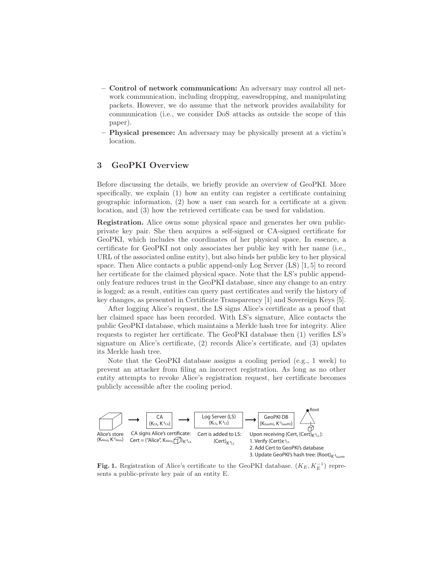- Control of network communication: An adversary may control all network communication, including dropping, eavesdropping, and manipulating packets. However, we do assume that the network provides availability for communication (i.e., we consider DoS attacks as outside the scope of this paper).
- Physical presence: An adversary may be physically present at a victim's location.

## 3 GeoPKI Overview

Before discussing the details, we briefly provide an overview of GeoPKI. More specifically, we explain (1) how an entity can register a certificate containing geographic information, (2) how a user can search for a certificate at a given location, and (3) how the retrieved certificate can be used for validation.

Registration. Alice owns some physical space and generates her own publicprivate key pair. She then acquires a self-signed or CA-signed certificate for GeoPKI, which includes the coordinates of her physical space. In essence, a certificate for GeoPKI not only associates her public key with her name (i.e., URL of the associated online entity), but also binds her public key to her physical space. Then Alice contacts a public append-only Log Server (LS) [1, 5] to record her certificate for the claimed physical space. Note that the LS's public appendonly feature reduces trust in the GeoPKI database, since any change to an entry is logged; as a result, entities can query past certificates and verify the history of key changes, as presented in Certificate Transparency [1] and Sovereign Keys [5].

After logging Alice's request, the LS signs Alice's certificate as a proof that her claimed space has been recorded. With LS's signature, Alice contacts the public GeoPKI database, which maintains a Merkle hash tree for integrity. Alice requests to register her certificate. The GeoPKI database then (1) verifies LS's signature on Alice's certificate, (2) records Alice's certificate, and (3) updates its Merkle hash tree.

Note that the GeoPKI database assigns a cooling period (e.g., 1 week) to prevent an attacker from filing an incorrect registration. As long as no other entity attempts to revoke Alice's registration request, her certificate becomes publicly accessible after the cooling period.



**Fig. 1.** Registration of Alice's certificate to the GeoPKI database.  $(K_E, K_E^{-1})$  represents a public-private key pair of an entity E.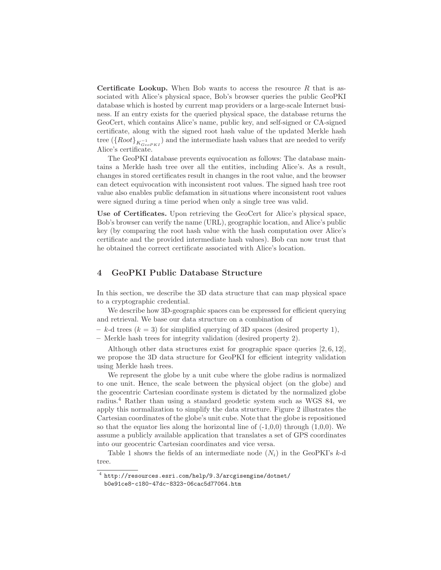**Certificate Lookup.** When Bob wants to access the resource  $R$  that is associated with Alice's physical space, Bob's browser queries the public GeoPKI database which is hosted by current map providers or a large-scale Internet business. If an entry exists for the queried physical space, the database returns the GeoCert, which contains Alice's name, public key, and self-signed or CA-signed certificate, along with the signed root hash value of the updated Merkle hash tree  $(\lbrace Root \rbrace_{K_{GeoPKI}^{-1}})$  and the intermediate hash values that are needed to verify Alice's certificate.

The GeoPKI database prevents equivocation as follows: The database maintains a Merkle hash tree over all the entities, including Alice's. As a result, changes in stored certificates result in changes in the root value, and the browser can detect equivocation with inconsistent root values. The signed hash tree root value also enables public defamation in situations where inconsistent root values were signed during a time period when only a single tree was valid.

Use of Certificates. Upon retrieving the GeoCert for Alice's physical space, Bob's browser can verify the name (URL), geographic location, and Alice's public key (by comparing the root hash value with the hash computation over Alice's certificate and the provided intermediate hash values). Bob can now trust that he obtained the correct certificate associated with Alice's location.

## 4 GeoPKI Public Database Structure

In this section, we describe the 3D data structure that can map physical space to a cryptographic credential.

We describe how 3D-geographic spaces can be expressed for efficient querying and retrieval. We base our data structure on a combination of

 $- k$ -d trees  $(k = 3)$  for simplified querying of 3D spaces (desired property 1), – Merkle hash trees for integrity validation (desired property 2).

Although other data structures exist for geographic space queries [2, 6, 12], we propose the 3D data structure for GeoPKI for efficient integrity validation using Merkle hash trees.

We represent the globe by a unit cube where the globe radius is normalized to one unit. Hence, the scale between the physical object (on the globe) and the geocentric Cartesian coordinate system is dictated by the normalized globe radius.<sup>4</sup> Rather than using a standard geodetic system such as WGS 84, we apply this normalization to simplify the data structure. Figure 2 illustrates the Cartesian coordinates of the globe's unit cube. Note that the globe is repositioned so that the equator lies along the horizontal line of  $(-1,0,0)$  through  $(1,0,0)$ . We assume a publicly available application that translates a set of GPS coordinates into our geocentric Cartesian coordinates and vice versa.

Table 1 shows the fields of an intermediate node  $(N_i)$  in the GeoPKI's k-d tree.

<sup>4</sup> http://resources.esri.com/help/9.3/arcgisengine/dotnet/ b0e91ce8-c180-47dc-8323-06cac5d77064.htm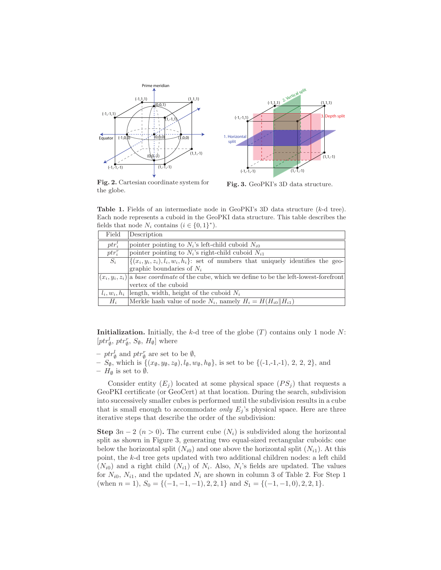



Fig. 2. Cartesian coordinate system for the globe.

Fig. 3. GeoPKI's 3D data structure.

Table 1. Fields of an intermediate node in GeoPKI's 3D data structure (k-d tree). Each node represents a cuboid in the GeoPKI data structure. This table describes the fields that node  $N_i$  contains  $(i \in \{0,1\}^*)$ .

| Field     | Description                                                                                      |
|-----------|--------------------------------------------------------------------------------------------------|
| $ptr_i^l$ | pointer pointing to $N_i$ 's left-child cuboid $N_{i0}$                                          |
| $ptr_i^r$ | pointer pointing to $N_i$ 's right-child cuboid $N_{i1}$                                         |
| $S_i$     | $\{(x_i, y_i, z_i), l_i, w_i, h_i\}$ : set of numbers that uniquely identifies the geo-          |
|           | graphic boundaries of $N_i$                                                                      |
|           | $(x_i, y_i, z_i)$ a base coordinate of the cube, which we define to be the left-lowest-forefront |
|           | vertex of the cuboid                                                                             |
|           | $l_i, w_i, h_i$ length, width, height of the cuboid $N_i$                                        |
| $H_i$     | Merkle hash value of node $N_i$ , namely $H_i = H(H_{i0}  H_{i1})$                               |

**Initialization.** Initially, the k-d tree of the globe  $(T)$  contains only 1 node N:  $[ptr_{\emptyset}^l,ptr_{\emptyset}^r, S_{\emptyset}, H_{\emptyset}]$  where

- $p t r_{\emptyset}^l$  and  $p t r_{\emptyset}^r$  are set to be  $\emptyset$ ,
- $-\overline{S_{\emptyset}}$ , which is  $\{(x_{\emptyset}, y_{\emptyset}, z_{\emptyset}), l_{\emptyset}, w_{\emptyset}, h_{\emptyset}\}\)$ , is set to be  $\{(-1,-1,-1), 2, 2, 2\}$ , and
- $H_{\emptyset}$  is set to  $\emptyset$ .

Consider entity  $(E_j)$  located at some physical space  $(PS_j)$  that requests a GeoPKI certificate (or GeoCert) at that location. During the search, subdivision into successively smaller cubes is performed until the subdivision results in a cube that is small enough to accommodate *only*  $E_i$ 's physical space. Here are three iterative steps that describe the order of the subdivision:

**Step**  $3n - 2$  ( $n > 0$ ). The current cube  $(N_i)$  is subdivided along the horizontal split as shown in Figure 3, generating two equal-sized rectangular cuboids: one below the horizontal split  $(N_{i0})$  and one above the horizontal split  $(N_{i1})$ . At this point, the k-d tree gets updated with two additional children nodes: a left child  $(N_{i0})$  and a right child  $(N_{i1})$  of  $N_i$ . Also,  $N_i$ 's fields are updated. The values for  $N_{i0}$ ,  $N_{i1}$ , and the updated  $N_i$  are shown in column 3 of Table 2. For Step 1 (when  $n = 1$ ),  $S_0 = \{(-1, -1, -1), 2, 2, 1\}$  and  $S_1 = \{(-1, -1, 0), 2, 2, 1\}.$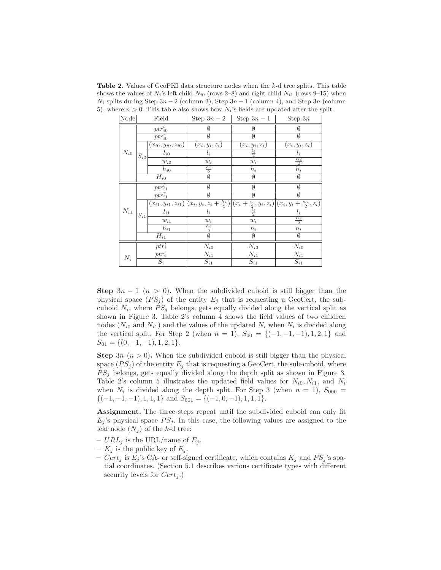| <b>Table 2.</b> Values of GeoPKI data structure nodes when the k-d tree splits. This table            |  |
|-------------------------------------------------------------------------------------------------------|--|
| shows the values of $N_i$ 's left child $N_{i0}$ (rows 2–8) and right child $N_{i1}$ (rows 9–15) when |  |
| $N_i$ splits during Step $3n-2$ (column 3), Step $3n-1$ (column 4), and Step $3n$ (column             |  |
| 5), where $n > 0$ . This table also shows how $N_i$ 's fields are updated after the split.            |  |

| Node               | Field                  |                          | Step $3n-2$                       | Step $3n-1$       | Step $3n$                                                                                                                                       |
|--------------------|------------------------|--------------------------|-----------------------------------|-------------------|-------------------------------------------------------------------------------------------------------------------------------------------------|
| $\mathcal{N}_{i0}$ | $ptr'_{i0}$            |                          | Ø                                 | (/)               | Ø                                                                                                                                               |
|                    | $ptr_{i0}^r$           |                          | Ø                                 | Ø                 | Ø                                                                                                                                               |
|                    |                        | $(x_{i0},y_{i0},z_{i0})$ | $(x_i, y_i, z_i)$                 | $(x_i, y_i, z_i)$ | $(x_i,y_i,z_i)$                                                                                                                                 |
|                    | $S_{i0}$               | $l_{i0}$                 | $l_i$                             | $\frac{l_i}{2}$   | $l_i$                                                                                                                                           |
|                    |                        | $\boldsymbol{w}_{i0}$    | $\boldsymbol{w}_i$                | $w_i$             | $\frac{W_i}{2}$                                                                                                                                 |
|                    |                        | $h_{i0}$                 | $\frac{\frac{h_i}{2}}{\emptyset}$ | $h_i$             | $h_i$                                                                                                                                           |
|                    | $\overline{H}_{i0}$    |                          |                                   | Ø                 | Ø                                                                                                                                               |
| $\mathcal{N}_{i1}$ | $ptr^l_{i1}$           |                          | Ø                                 | Ø                 | Ø                                                                                                                                               |
|                    | $ptr_{i1}^r$           |                          | Ø                                 | Ø                 | Ø                                                                                                                                               |
|                    |                        |                          |                                   |                   | $\frac{(x_{i1},y_{i1},z_{i1})\left (x_i,y_i,z_i+\frac{h_i}{2})\right (x_i+\frac{l_i}{2},y_i,z_i)\left (x_i,y_i+\frac{w_i}{2},z_i)\right }{l_i}$ |
|                    | $S_{i1}$               |                          |                                   |                   |                                                                                                                                                 |
|                    |                        | $w_{i1}$                 | $w_i$                             | $w_i$             | $\frac{W_i}{2}$                                                                                                                                 |
|                    |                        | $h_{i1}$                 | $\frac{h_i}{2}$                   | $h_i$             | $h_i$                                                                                                                                           |
|                    | $\overline{H}_{i1}$    |                          | $\overline{\emptyset}$            | Ø                 | Ø                                                                                                                                               |
| $N_i$              | $ptr_i^l$<br>$ptr_i^r$ |                          | $N_{i0}$                          | $N_{i0}$          | $N_{i0}$                                                                                                                                        |
|                    |                        |                          | $N_{i1}$                          | $N_{i1}$          | $N_{i1}$                                                                                                                                        |
|                    |                        | $\overline{S_i}$         | $\overline{S}_{i1}$               | $S_{i1}$          | $S_{i1}$                                                                                                                                        |

Step  $3n - 1$  ( $n > 0$ ). When the subdivided cuboid is still bigger than the physical space  $(PS<sub>j</sub>)$  of the entity  $E<sub>j</sub>$  that is requesting a GeoCert, the subcuboid  $N_i$ , where  $PS_j$  belongs, gets equally divided along the vertical split as shown in Figure 3. Table 2's column 4 shows the field values of two children nodes  $(N_{i0}$  and  $N_{i1})$  and the values of the updated  $N_i$  when  $N_i$  is divided along the vertical split. For Step 2 (when  $n = 1$ ),  $S_{00} = \{(-1, -1, -1), 1, 2, 1\}$  and  $S_{01} = \{(0,-1,-1),1,2,1\}.$ 

**Step** 3n  $(n > 0)$ . When the subdivided cuboid is still bigger than the physical space  $(PS<sub>j</sub>)$  of the entity  $E<sub>j</sub>$  that is requesting a GeoCert, the sub-cuboid, where  $PS<sub>j</sub>$  belongs, gets equally divided along the depth split as shown in Figure 3. Table 2's column 5 illustrates the updated field values for  $N_{i0}$ ,  $N_{i1}$ , and  $N_i$ when  $N_i$  is divided along the depth split. For Step 3 (when  $n = 1$ ),  $S_{000} =$  $\{(-1,-1,-1),1,1,1\}$  and  $S_{001} = \{(-1,0,-1),1,1,1\}.$ 

Assignment. The three steps repeat until the subdivided cuboid can only fit  $E_j$ 's physical space  $PS_j$ . In this case, the following values are assigned to the leaf node  $(N_i)$  of the k-d tree:

- $URL<sub>j</sub>$  is the URL/name of  $E<sub>j</sub>$ .
- $K_j$  is the public key of  $E_j$ .
- $Cert<sub>j</sub>$  is  $E<sub>j</sub>$ 's CA- or self-signed certificate, which contains  $K<sub>j</sub>$  and  $PS<sub>j</sub>$ 's spatial coordinates. (Section 5.1 describes various certificate types with different security levels for  $Cert_i$ .)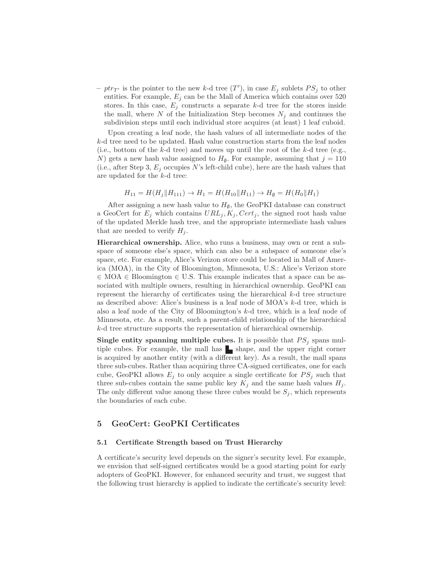$- ptr_{T'}$  is the pointer to the new k-d tree  $(T')$ , in case  $E_j$  sublets  $PS_j$  to other entities. For example,  $E_j$  can be the Mall of America which contains over 520 stores. In this case,  $E_j$  constructs a separate k-d tree for the stores inside the mall, where  $N$  of the Initialization Step becomes  $N_j$  and continues the subdivision steps until each individual store acquires (at least) 1 leaf cuboid.

Upon creating a leaf node, the hash values of all intermediate nodes of the k-d tree need to be updated. Hash value construction starts from the leaf nodes (i.e., bottom of the  $k$ -d tree) and moves up until the root of the  $k$ -d tree (e.g., N) gets a new hash value assigned to  $H_{\emptyset}$ . For example, assuming that  $j = 110$ (i.e., after Step 3,  $E_j$  occupies N's left-child cube), here are the hash values that are updated for the k-d tree:

$$
H_{11} = H(H_j||H_{111}) \rightarrow H_1 = H(H_{10}||H_{11}) \rightarrow H_{\emptyset} = H(H_0||H_1)
$$

After assigning a new hash value to  $H_{\emptyset}$ , the GeoPKI database can construct a GeoCert for  $E_j$  which contains  $URL_j, K_j, Cert_j$ , the signed root hash value of the updated Merkle hash tree, and the appropriate intermediate hash values that are needed to verify  $H_i$ .

Hierarchical ownership. Alice, who runs a business, may own or rent a subspace of someone else's space, which can also be a subspace of someone else's space, etc. For example, Alice's Verizon store could be located in Mall of America (MOA), in the City of Bloomington, Minnesota, U.S.: Alice's Verizon store  $\in$  MOA  $\in$  Bloomington  $\in$  U.S. This example indicates that a space can be associated with multiple owners, resulting in hierarchical ownership. GeoPKI can represent the hierarchy of certificates using the hierarchical  $k$ -d tree structure as described above: Alice's business is a leaf node of MOA's k-d tree, which is also a leaf node of the City of Bloomington's k-d tree, which is a leaf node of Minnesota, etc. As a result, such a parent-child relationship of the hierarchical k-d tree structure supports the representation of hierarchical ownership.

Single entity spanning multiple cubes. It is possible that  $PS_j$  spans multiple cubes. For example, the mall has  $\blacksquare$  shape, and the upper right corner is acquired by another entity (with a different key). As a result, the mall spans three sub-cubes. Rather than acquiring three CA-signed certificates, one for each cube, GeoPKI allows  $E_j$  to only acquire a single certificate for  $PS_j$  such that three sub-cubes contain the same public key  $K_j$  and the same hash values  $H_j$ . The only different value among these three cubes would be  $S_i$ , which represents the boundaries of each cube.

## 5 GeoCert: GeoPKI Certificates

#### 5.1 Certificate Strength based on Trust Hierarchy

A certificate's security level depends on the signer's security level. For example, we envision that self-signed certificates would be a good starting point for early adopters of GeoPKI. However, for enhanced security and trust, we suggest that the following trust hierarchy is applied to indicate the certificate's security level: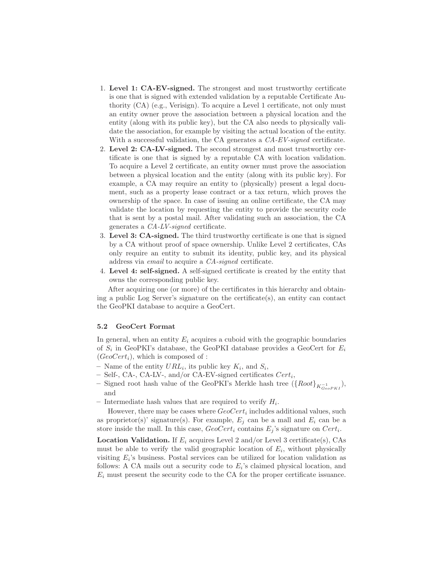- 1. Level 1: CA-EV-signed. The strongest and most trustworthy certificate is one that is signed with extended validation by a reputable Certificate Authority (CA) (e.g., Verisign). To acquire a Level 1 certificate, not only must an entity owner prove the association between a physical location and the entity (along with its public key), but the CA also needs to physically validate the association, for example by visiting the actual location of the entity. With a successful validation, the CA generates a  $CA$ - $EV$ -signed certificate.
- 2. Level 2: CA-LV-signed. The second strongest and most trustworthy certificate is one that is signed by a reputable CA with location validation. To acquire a Level 2 certificate, an entity owner must prove the association between a physical location and the entity (along with its public key). For example, a CA may require an entity to (physically) present a legal document, such as a property lease contract or a tax return, which proves the ownership of the space. In case of issuing an online certificate, the CA may validate the location by requesting the entity to provide the security code that is sent by a postal mail. After validating such an association, the CA generates a CA-LV-signed certificate.
- 3. Level 3: CA-signed. The third trustworthy certificate is one that is signed by a CA without proof of space ownership. Unlike Level 2 certificates, CAs only require an entity to submit its identity, public key, and its physical address via email to acquire a CA-signed certificate.
- 4. Level 4: self-signed. A self-signed certificate is created by the entity that owns the corresponding public key.

After acquiring one (or more) of the certificates in this hierarchy and obtaining a public Log Server's signature on the certificate(s), an entity can contact the GeoPKI database to acquire a GeoCert.

#### 5.2 GeoCert Format

In general, when an entity  $E_i$  acquires a cuboid with the geographic boundaries of  $S_i$  in GeoPKI's database, the GeoPKI database provides a GeoCert for  $E_i$  $(GeoCert<sub>i</sub>)$ , which is composed of :

- Name of the entity  $URL_i$ , its public key  $K_i$ , and  $S_i$ ,
- Self-, CA-, CA-LV-, and/or CA-EV-signed certificates  $Cert_i$ ,
- Signed root hash value of the GeoPKI's Merkle hash tree  $({Root}_{K_{GeoPKI}^{-1}})$ , and
- Intermediate hash values that are required to verify  $H_i$ .

However, there may be cases where  $GeoCert_i$  includes additional values, such as proprietor(s)' signature(s). For example,  $E_j$  can be a mall and  $E_i$  can be a store inside the mall. In this case,  $GeoCert_i$  contains  $E_j$ 's signature on  $Cert_i$ .

**Location Validation.** If  $E_i$  acquires Level 2 and/or Level 3 certificate(s), CAs must be able to verify the valid geographic location of  $E_i$ , without physically visiting  $E_i$ 's business. Postal services can be utilized for location validation as follows: A CA mails out a security code to  $E_i$ 's claimed physical location, and  $E_i$  must present the security code to the CA for the proper certificate issuance.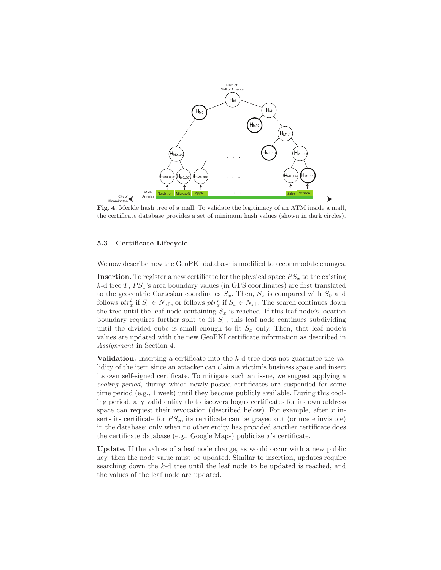

Fig. 4. Merkle hash tree of a mall. To validate the legitimacy of an ATM inside a mall, the certificate database provides a set of minimum hash values (shown in dark circles).

#### 5.3 Certificate Lifecycle

We now describe how the GeoPKI database is modified to accommodate changes.

**Insertion.** To register a new certificate for the physical space  $PS_x$  to the existing  $k$ -d tree T,  $PS_x$ 's area boundary values (in GPS coordinates) are first translated to the geocentric Cartesian coordinates  $S_x$ . Then,  $S_x$  is compared with  $S_0$  and follows  $ptr_x^l$  if  $S_x \in N_{x0}$ , or follows  $ptr_x^r$  if  $S_x \in N_{x1}$ . The search continues down the tree until the leaf node containing  $S_x$  is reached. If this leaf node's location boundary requires further split to fit  $S_x$ , this leaf node continues subdividing until the divided cube is small enough to fit  $S_x$  only. Then, that leaf node's values are updated with the new GeoPKI certificate information as described in Assignment in Section 4.

Validation. Inserting a certificate into the k-d tree does not guarantee the validity of the item since an attacker can claim a victim's business space and insert its own self-signed certificate. To mitigate such an issue, we suggest applying a cooling period, during which newly-posted certificates are suspended for some time period (e.g., 1 week) until they become publicly available. During this cooling period, any valid entity that discovers bogus certificates for its own address space can request their revocation (described below). For example, after x inserts its certificate for  $PS_x$ , its certificate can be grayed out (or made invisible) in the database; only when no other entity has provided another certificate does the certificate database (e.g., Google Maps) publicize  $x$ 's certificate.

Update. If the values of a leaf node change, as would occur with a new public key, then the node value must be updated. Similar to insertion, updates require searching down the k-d tree until the leaf node to be updated is reached, and the values of the leaf node are updated.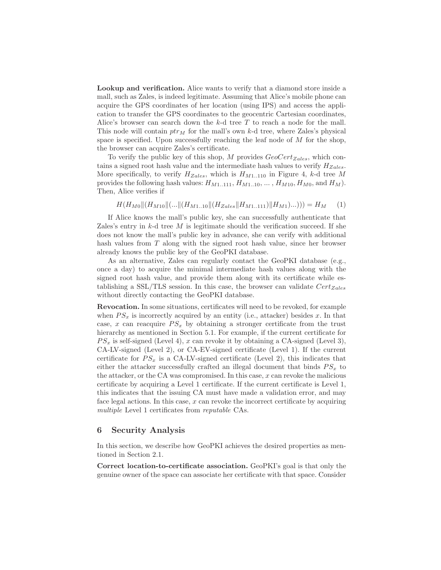Lookup and verification. Alice wants to verify that a diamond store inside a mall, such as Zales, is indeed legitimate. Assuming that Alice's mobile phone can acquire the GPS coordinates of her location (using IPS) and access the application to transfer the GPS coordinates to the geocentric Cartesian coordinates, Alice's browser can search down the  $k$ -d tree  $T$  to reach a node for the mall. This node will contain  $ptr_M$  for the mall's own k-d tree, where Zales's physical space is specified. Upon successfully reaching the leaf node of  $M$  for the shop, the browser can acquire Zales's certificate.

To verify the public key of this shop, M provides  $Geocert_{Zales}$ , which contains a signed root hash value and the intermediate hash values to verify  $H_{Zales}$ . More specifically, to verify  $H_{Zales}$ , which is  $H_{M1..110}$  in Figure 4, k-d tree M provides the following hash values:  $H_{M1..111}$ ,  $H_{M1..10}$ , ...,  $H_{M10}$ ,  $H_{M0}$ , and  $H_M$ ). Then, Alice verifies if

$$
H(H_{M0}||(H_{M10}||(...||(H_{M1..10}||(H_{Zales}||H_{M1..111})||H_{M1})...))) = H_M \tag{1}
$$

If Alice knows the mall's public key, she can successfully authenticate that Zales's entry in  $k$ -d tree M is legitimate should the verification succeed. If she does not know the mall's public key in advance, she can verify with additional hash values from T along with the signed root hash value, since her browser already knows the public key of the GeoPKI database.

As an alternative, Zales can regularly contact the GeoPKI database (e.g., once a day) to acquire the minimal intermediate hash values along with the signed root hash value, and provide them along with its certificate while establishing a SSL/TLS session. In this case, the browser can validate  $Cert_{Zales}$ without directly contacting the GeoPKI database.

Revocation. In some situations, certificates will need to be revoked, for example when  $PS_x$  is incorrectly acquired by an entity (i.e., attacker) besides x. In that case, x can reacquire  $PS_x$  by obtaining a stronger certificate from the trust hierarchy as mentioned in Section 5.1. For example, if the current certificate for  $PS_x$  is self-signed (Level 4), x can revoke it by obtaining a CA-signed (Level 3), CA-LV-signed (Level 2), or CA-EV-signed certificate (Level 1). If the current certificate for  $PS_x$  is a CA-LV-signed certificate (Level 2), this indicates that either the attacker successfully crafted an illegal document that binds  $PS_x$  to the attacker, or the CA was compromised. In this case,  $x$  can revoke the malicious certificate by acquiring a Level 1 certificate. If the current certificate is Level 1, this indicates that the issuing CA must have made a validation error, and may face legal actions. In this case,  $x$  can revoke the incorrect certificate by acquiring multiple Level 1 certificates from *reputable* CAs.

#### 6 Security Analysis

In this section, we describe how GeoPKI achieves the desired properties as mentioned in Section 2.1.

Correct location-to-certificate association. GeoPKI's goal is that only the genuine owner of the space can associate her certificate with that space. Consider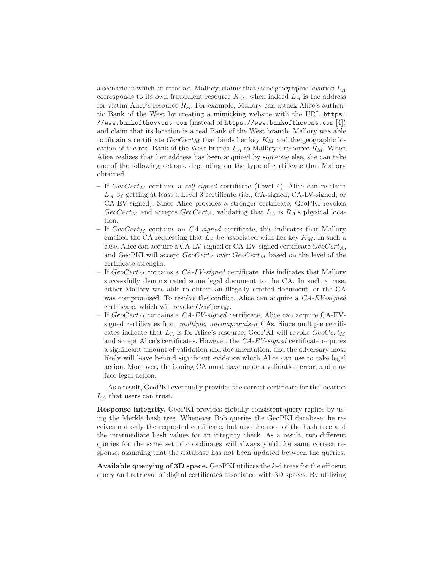a scenario in which an attacker, Mallory, claims that some geographic location  $L_A$ corresponds to its own fraudulent resource  $R_M$ , when indeed  $L_A$  is the address for victim Alice's resource  $R_A$ . For example, Mallory can attack Alice's authentic Bank of the West by creating a mimicking website with the URL https: //www.bankofthevvest.com (instead of https://www.bankofthewest.com [4]) and claim that its location is a real Bank of the West branch. Mallory was able to obtain a certificate  $Geocert_M$  that binds her key  $K_M$  and the geographic location of the real Bank of the West branch  $L_A$  to Mallory's resource  $R_M$ . When Alice realizes that her address has been acquired by someone else, she can take one of the following actions, depending on the type of certificate that Mallory obtained:

- If  $GeoCert_M$  contains a self-signed certificate (Level 4), Alice can re-claim  $L_A$  by getting at least a Level 3 certificate (i.e., CA-signed, CA-LV-signed, or CA-EV-signed). Since Alice provides a stronger certificate, GeoPKI revokes  $GeoCert_M$  and accepts  $GeoCert_A$ , validating that  $L_A$  is  $R_A$ 's physical location.
- If  $Geocert_M$  contains an CA-signed certificate, this indicates that Mallory emailed the CA requesting that  $L_A$  be associated with her key  $K_M$ . In such a case, Alice can acquire a CA-LV-signed or CA-EV-signed certificate  $GeoCert_A$ , and GeoPKI will accept  $GeoCert_A$  over  $GeoCert_M$  based on the level of the certificate strength.
- If  $GeoCert_M$  contains a  $CA-LV$ -signed certificate, this indicates that Mallory successfully demonstrated some legal document to the CA. In such a case, either Mallory was able to obtain an illegally crafted document, or the CA was compromised. To resolve the conflict, Alice can acquire a  $CA$ -EV-signed certificate, which will revoke  $Geocert_M$ .
- If  $Geocert_M$  contains a  $CA$ -EV-signed certificate, Alice can acquire CA-EVsigned certificates from *multiple*, *uncompromised* CAs. Since multiple certificates indicate that  $L_A$  is for Alice's resource, GeoPKI will revoke  $GeoCert_M$ and accept Alice's certificates. However, the CA-EV-signed certificate requires a significant amount of validation and documentation, and the adversary most likely will leave behind significant evidence which Alice can use to take legal action. Moreover, the issuing CA must have made a validation error, and may face legal action.

As a result, GeoPKI eventually provides the correct certificate for the location  $L_A$  that users can trust.

Response integrity. GeoPKI provides globally consistent query replies by using the Merkle hash tree. Whenever Bob queries the GeoPKI database, he receives not only the requested certificate, but also the root of the hash tree and the intermediate hash values for an integrity check. As a result, two different queries for the same set of coordinates will always yield the same correct response, assuming that the database has not been updated between the queries.

Available querying of 3D space. GeoPKI utilizes the k-d trees for the efficient query and retrieval of digital certificates associated with 3D spaces. By utilizing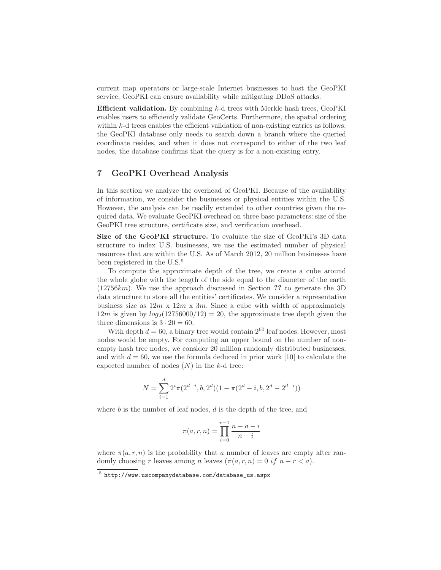current map operators or large-scale Internet businesses to host the GeoPKI service, GeoPKI can ensure availability while mitigating DDoS attacks.

**Efficient validation.** By combining  $k$ -d trees with Merkle hash trees, GeoPKI enables users to efficiently validate GeoCerts. Furthermore, the spatial ordering within  $k$ -d trees enables the efficient validation of non-existing entries as follows: the GeoPKI database only needs to search down a branch where the queried coordinate resides, and when it does not correspond to either of the two leaf nodes, the database confirms that the query is for a non-existing entry.

## 7 GeoPKI Overhead Analysis

In this section we analyze the overhead of GeoPKI. Because of the availability of information, we consider the businesses or physical entities within the U.S. However, the analysis can be readily extended to other countries given the required data. We evaluate GeoPKI overhead on three base parameters: size of the GeoPKI tree structure, certificate size, and verification overhead.

Size of the GeoPKI structure. To evaluate the size of GeoPKI's 3D data structure to index U.S. businesses, we use the estimated number of physical resources that are within the U.S. As of March 2012, 20 million businesses have been registered in the U.S.<sup>5</sup>

To compute the approximate depth of the tree, we create a cube around the whole globe with the length of the side equal to the diameter of the earth  $(12756km)$ . We use the approach discussed in Section ?? to generate the 3D data structure to store all the entities' certificates. We consider a representative business size as  $12m \times 12m \times 3m$ . Since a cube with width of approximately  $12m$  is given by  $log_2(12756000/12) = 20$ , the approximate tree depth given the three dimensions is  $3 \cdot 20 = 60$ .

With depth  $d = 60$ , a binary tree would contain  $2^{60}$  leaf nodes. However, most nodes would be empty. For computing an upper bound on the number of nonempty hash tree nodes, we consider 20 million randomly distributed businesses, and with  $d = 60$ , we use the formula deduced in prior work [10] to calculate the expected number of nodes  $(N)$  in the  $k$ -d tree:

$$
N = \sum_{i=1}^{d} 2^{i} \pi (2^{d-i}, b, 2^d) (1 - \pi (2^d - i, b, 2^d - 2^{d-i}))
$$

where  $b$  is the number of leaf nodes,  $d$  is the depth of the tree, and

$$
\pi(a,r,n) = \prod_{i=0}^{r-1} \frac{n-a-i}{n-i}
$$

where  $\pi(a, r, n)$  is the probability that a number of leaves are empty after randomly choosing r leaves among n leaves  $(\pi(a, r, n) = 0 \text{ if } n - r < a).$ 

 $^5$  http://www.uscompanydatabase.com/database\_us.aspx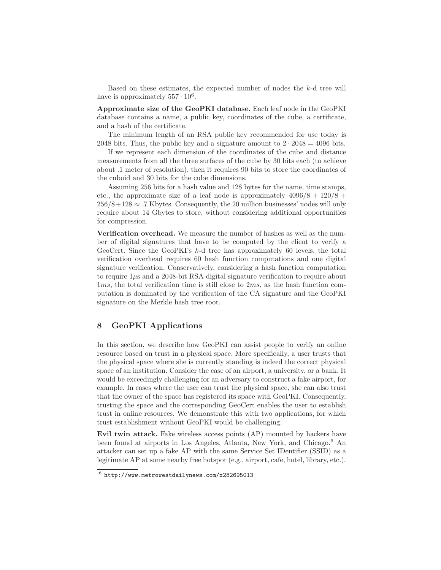Based on these estimates, the expected number of nodes the k-d tree will have is approximately  $557 \cdot 10^6$ .

Approximate size of the GeoPKI database. Each leaf node in the GeoPKI database contains a name, a public key, coordinates of the cube, a certificate, and a hash of the certificate.

The minimum length of an RSA public key recommended for use today is 2048 bits. Thus, the public key and a signature amount to  $2 \cdot 2048 = 4096$  bits.

If we represent each dimension of the coordinates of the cube and distance measurements from all the three surfaces of the cube by 30 bits each (to achieve about .1 meter of resolution), then it requires 90 bits to store the coordinates of the cuboid and 30 bits for the cube dimensions.

Assuming 256 bits for a hash value and 128 bytes for the name, time stamps, etc., the approximate size of a leaf node is approximately  $4096/8 + 120/8 +$  $256/8+128 \approx .7$  Kbytes. Consequently, the 20 million businesses' nodes will only require about 14 Gbytes to store, without considering additional opportunities for compression.

Verification overhead. We measure the number of hashes as well as the number of digital signatures that have to be computed by the client to verify a GeoCert. Since the GeoPKI's k-d tree has approximately 60 levels, the total verification overhead requires 60 hash function computations and one digital signature verification. Conservatively, considering a hash function computation to require  $1\mu s$  and a 2048-bit RSA digital signature verification to require about  $1ms$ , the total verification time is still close to  $2ms$ , as the hash function computation is dominated by the verification of the CA signature and the GeoPKI signature on the Merkle hash tree root.

## 8 GeoPKI Applications

In this section, we describe how GeoPKI can assist people to verify an online resource based on trust in a physical space. More specifically, a user trusts that the physical space where she is currently standing is indeed the correct physical space of an institution. Consider the case of an airport, a university, or a bank. It would be exceedingly challenging for an adversary to construct a fake airport, for example. In cases where the user can trust the physical space, she can also trust that the owner of the space has registered its space with GeoPKI. Consequently, trusting the space and the corresponding GeoCert enables the user to establish trust in online resources. We demonstrate this with two applications, for which trust establishment without GeoPKI would be challenging.

Evil twin attack. Fake wireless access points (AP) mounted by hackers have been found at airports in Los Angeles, Atlanta, New York, and Chicago.<sup>6</sup> An attacker can set up a fake AP with the same Service Set IDentifier (SSID) as a legitimate AP at some nearby free hotspot (e.g., airport, cafe, hotel, library, etc.).

 $^6$  http://www.metrowestdailynews.com/x282695013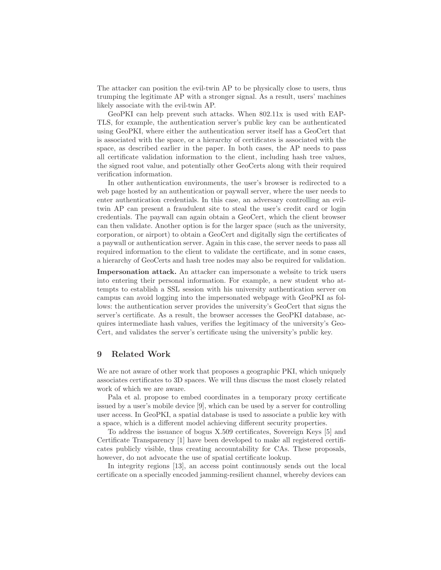The attacker can position the evil-twin AP to be physically close to users, thus trumping the legitimate AP with a stronger signal. As a result, users' machines likely associate with the evil-twin AP.

GeoPKI can help prevent such attacks. When 802.11x is used with EAP-TLS, for example, the authentication server's public key can be authenticated using GeoPKI, where either the authentication server itself has a GeoCert that is associated with the space, or a hierarchy of certificates is associated with the space, as described earlier in the paper. In both cases, the AP needs to pass all certificate validation information to the client, including hash tree values, the signed root value, and potentially other GeoCerts along with their required verification information.

In other authentication environments, the user's browser is redirected to a web page hosted by an authentication or paywall server, where the user needs to enter authentication credentials. In this case, an adversary controlling an eviltwin AP can present a fraudulent site to steal the user's credit card or login credentials. The paywall can again obtain a GeoCert, which the client browser can then validate. Another option is for the larger space (such as the university, corporation, or airport) to obtain a GeoCert and digitally sign the certificates of a paywall or authentication server. Again in this case, the server needs to pass all required information to the client to validate the certificate, and in some cases, a hierarchy of GeoCerts and hash tree nodes may also be required for validation.

Impersonation attack. An attacker can impersonate a website to trick users into entering their personal information. For example, a new student who attempts to establish a SSL session with his university authentication server on campus can avoid logging into the impersonated webpage with GeoPKI as follows: the authentication server provides the university's GeoCert that signs the server's certificate. As a result, the browser accesses the GeoPKI database, acquires intermediate hash values, verifies the legitimacy of the university's Geo-Cert, and validates the server's certificate using the university's public key.

## 9 Related Work

We are not aware of other work that proposes a geographic PKI, which uniquely associates certificates to 3D spaces. We will thus discuss the most closely related work of which we are aware.

Pala et al. propose to embed coordinates in a temporary proxy certificate issued by a user's mobile device [9], which can be used by a server for controlling user access. In GeoPKI, a spatial database is used to associate a public key with a space, which is a different model achieving different security properties.

To address the issuance of bogus X.509 certificates, Sovereign Keys [5] and Certificate Transparency [1] have been developed to make all registered certificates publicly visible, thus creating accountability for CAs. These proposals, however, do not advocate the use of spatial certificate lookup.

In integrity regions [13], an access point continuously sends out the local certificate on a specially encoded jamming-resilient channel, whereby devices can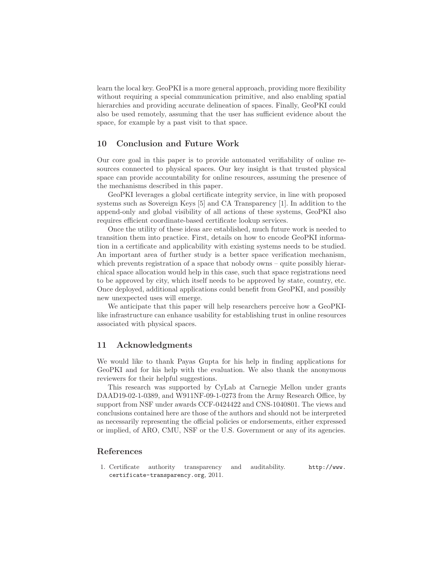learn the local key. GeoPKI is a more general approach, providing more flexibility without requiring a special communication primitive, and also enabling spatial hierarchies and providing accurate delineation of spaces. Finally, GeoPKI could also be used remotely, assuming that the user has sufficient evidence about the space, for example by a past visit to that space.

## 10 Conclusion and Future Work

Our core goal in this paper is to provide automated verifiability of online resources connected to physical spaces. Our key insight is that trusted physical space can provide accountability for online resources, assuming the presence of the mechanisms described in this paper.

GeoPKI leverages a global certificate integrity service, in line with proposed systems such as Sovereign Keys [5] and CA Transparency [1]. In addition to the append-only and global visibility of all actions of these systems, GeoPKI also requires efficient coordinate-based certificate lookup services.

Once the utility of these ideas are established, much future work is needed to transition them into practice. First, details on how to encode GeoPKI information in a certificate and applicability with existing systems needs to be studied. An important area of further study is a better space verification mechanism, which prevents registration of a space that nobody owns – quite possibly hierarchical space allocation would help in this case, such that space registrations need to be approved by city, which itself needs to be approved by state, country, etc. Once deployed, additional applications could benefit from GeoPKI, and possibly new unexpected uses will emerge.

We anticipate that this paper will help researchers perceive how a GeoPKIlike infrastructure can enhance usability for establishing trust in online resources associated with physical spaces.

## 11 Acknowledgments

We would like to thank Payas Gupta for his help in finding applications for GeoPKI and for his help with the evaluation. We also thank the anonymous reviewers for their helpful suggestions.

This research was supported by CyLab at Carnegie Mellon under grants DAAD19-02-1-0389, and W911NF-09-1-0273 from the Army Research Office, by support from NSF under awards CCF-0424422 and CNS-1040801. The views and conclusions contained here are those of the authors and should not be interpreted as necessarily representing the official policies or endorsements, either expressed or implied, of ARO, CMU, NSF or the U.S. Government or any of its agencies.

## References

1. Certificate authority transparency and auditability. http://www. certificate-transparency.org, 2011.